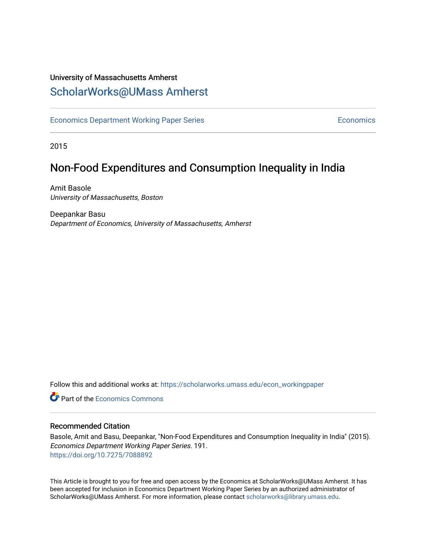# University of Massachusetts Amherst [ScholarWorks@UMass Amherst](https://scholarworks.umass.edu/)

[Economics Department Working Paper Series](https://scholarworks.umass.edu/econ_workingpaper) **Economics** Economics

2015

# Non-Food Expenditures and Consumption Inequality in India

Amit Basole University of Massachusetts, Boston

Deepankar Basu Department of Economics, University of Massachusetts, Amherst

Follow this and additional works at: [https://scholarworks.umass.edu/econ\\_workingpaper](https://scholarworks.umass.edu/econ_workingpaper?utm_source=scholarworks.umass.edu%2Fecon_workingpaper%2F191&utm_medium=PDF&utm_campaign=PDFCoverPages) 

**C** Part of the [Economics Commons](http://network.bepress.com/hgg/discipline/340?utm_source=scholarworks.umass.edu%2Fecon_workingpaper%2F191&utm_medium=PDF&utm_campaign=PDFCoverPages)

#### Recommended Citation

Basole, Amit and Basu, Deepankar, "Non-Food Expenditures and Consumption Inequality in India" (2015). Economics Department Working Paper Series. 191. <https://doi.org/10.7275/7088892>

This Article is brought to you for free and open access by the Economics at ScholarWorks@UMass Amherst. It has been accepted for inclusion in Economics Department Working Paper Series by an authorized administrator of ScholarWorks@UMass Amherst. For more information, please contact [scholarworks@library.umass.edu.](mailto:scholarworks@library.umass.edu)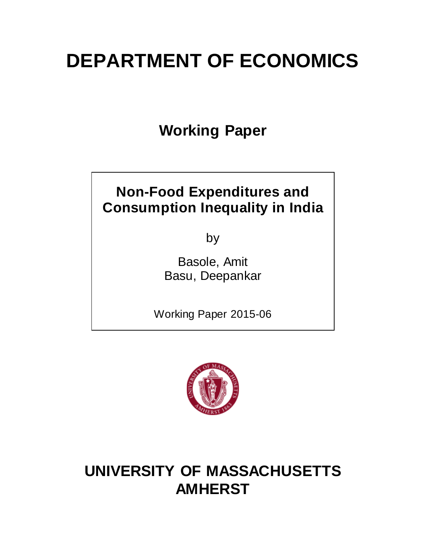# **DEPARTMENT OF ECONOMICS**

**Working Paper**

# **Non-Food Expenditures and Consumption Inequality in India**

by

Basole, Amit Basu, Deepankar

Working Paper 2015-06



# **UNIVERSITY OF MASSACHUSETTS AMHERST**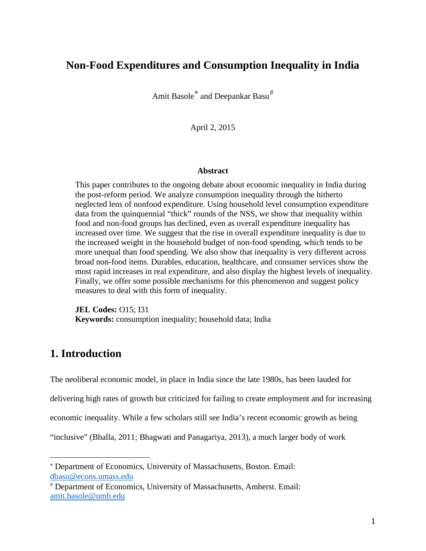# **Non-Food Expenditures and Consumption Inequality in India**

Amit Basole<sup>\*</sup> and Deepankar Basu<sup>[#](#page-2-1)</sup>

April 2, 2015

#### **Abstract**

This paper contributes to the ongoing debate about economic inequality in India during the post-reform period. We analyze consumption inequality through the hitherto neglected lens of nonfood expenditure. Using household level consumption expenditure data from the quinquennial "thick" rounds of the NSS, we show that inequality within food and non-food groups has declined, even as overall expenditure inequality has increased over time. We suggest that the rise in overall expenditure inequality is due to the increased weight in the household budget of non-food spending, which tends to be more unequal than food spending. We also show that inequality is very different across broad non-food items. Durables, education, healthcare, and consumer services show the most rapid increases in real expenditure, and also display the highest levels of inequality. Finally, we offer some possible mechanisms for this phenomenon and suggest policy measures to deal with this form of inequality.

**JEL Codes:** O15; I31 **Keywords:** consumption inequality; household data; India

# **1. Introduction**

The neoliberal economic model, in place in India since the late 1980s, has been lauded for

delivering high rates of growth but criticized for failing to create employment and for increasing

economic inequality. While a few scholars still see India's recent economic growth as being

"inclusive" (Bhalla, 2011; Bhagwati and Panagariya, 2013), a much larger body of work

<span id="page-2-0"></span><sup>∗</sup> Department of Economics, University of Massachusetts, Boston. Email: dbasu@econs.umass.edu i<br>I

<span id="page-2-1"></span><sup>#</sup> Department of Economics, University of Massachusetts, Amherst. Email: amit.basole@umb.edu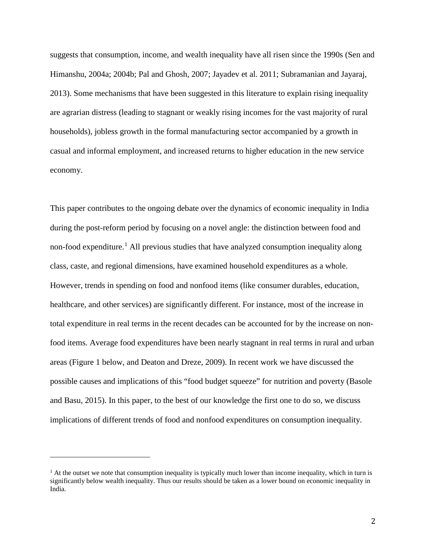suggests that consumption, income, and wealth inequality have all risen since the 1990s (Sen and Himanshu, 2004a; 2004b; Pal and Ghosh, 2007; Jayadev et al. 2011; Subramanian and Jayaraj, 2013). Some mechanisms that have been suggested in this literature to explain rising inequality are agrarian distress (leading to stagnant or weakly rising incomes for the vast majority of rural households), jobless growth in the formal manufacturing sector accompanied by a growth in casual and informal employment, and increased returns to higher education in the new service economy.

This paper contributes to the ongoing debate over the dynamics of economic inequality in India during the post-reform period by focusing on a novel angle: the distinction between food and non-food expenditure. [1](#page-3-0) All previous studies that have analyzed consumption inequality along class, caste, and regional dimensions, have examined household expenditures as a whole. However, trends in spending on food and nonfood items (like consumer durables, education, healthcare, and other services) are significantly different. For instance, most of the increase in total expenditure in real terms in the recent decades can be accounted for by the increase on nonfood items. Average food expenditures have been nearly stagnant in real terms in rural and urban areas (Figure 1 below, and Deaton and Dreze, 2009). In recent work we have discussed the possible causes and implications of this "food budget squeeze" for nutrition and poverty (Basole and Basu, 2015). In this paper, to the best of our knowledge the first one to do so, we discuss implications of different trends of food and nonfood expenditures on consumption inequality.

i<br>I

<span id="page-3-0"></span> $<sup>1</sup>$  At the outset we note that consumption inequality is typically much lower than income inequality, which in turn is</sup> significantly below wealth inequality. Thus our results should be taken as a lower bound on economic inequality in India.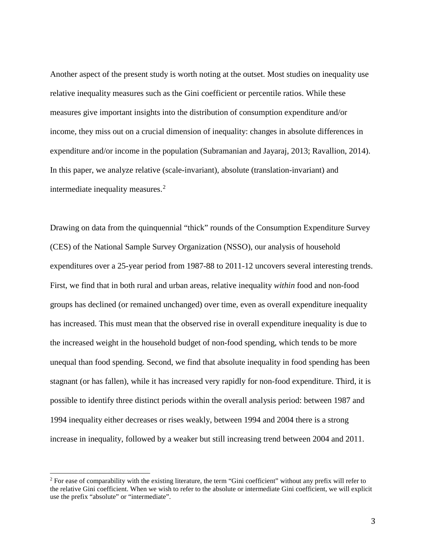Another aspect of the present study is worth noting at the outset. Most studies on inequality use relative inequality measures such as the Gini coefficient or percentile ratios. While these measures give important insights into the distribution of consumption expenditure and/or income, they miss out on a crucial dimension of inequality: changes in absolute differences in expenditure and/or income in the population (Subramanian and Jayaraj, 2013; Ravallion, 2014). In this paper, we analyze relative (scale-invariant), absolute (translation-invariant) and intermediate inequality measures. [2](#page-4-0)

Drawing on data from the quinquennial "thick" rounds of the Consumption Expenditure Survey (CES) of the National Sample Survey Organization (NSSO), our analysis of household expenditures over a 25-year period from 1987-88 to 2011-12 uncovers several interesting trends. First, we find that in both rural and urban areas, relative inequality *within* food and non-food groups has declined (or remained unchanged) over time, even as overall expenditure inequality has increased. This must mean that the observed rise in overall expenditure inequality is due to the increased weight in the household budget of non-food spending, which tends to be more unequal than food spending. Second, we find that absolute inequality in food spending has been stagnant (or has fallen), while it has increased very rapidly for non-food expenditure. Third, it is possible to identify three distinct periods within the overall analysis period: between 1987 and 1994 inequality either decreases or rises weakly, between 1994 and 2004 there is a strong increase in inequality, followed by a weaker but still increasing trend between 2004 and 2011.

<span id="page-4-0"></span> $2$  For ease of comparability with the existing literature, the term "Gini coefficient" without any prefix will refer to the relative Gini coefficient. When we wish to refer to the absolute or intermediate Gini coefficient, we will explicit use the prefix "absolute" or "intermediate".  $\overline{\phantom{a}}$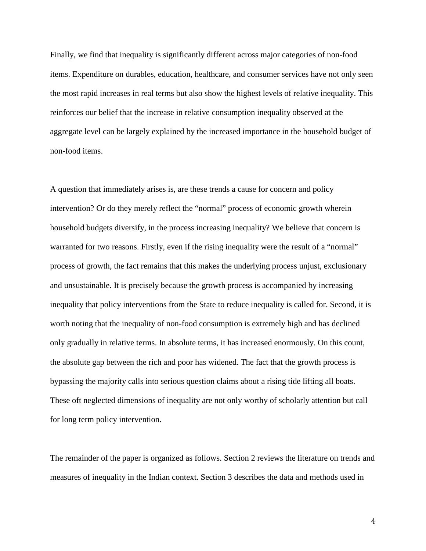Finally, we find that inequality is significantly different across major categories of non-food items. Expenditure on durables, education, healthcare, and consumer services have not only seen the most rapid increases in real terms but also show the highest levels of relative inequality. This reinforces our belief that the increase in relative consumption inequality observed at the aggregate level can be largely explained by the increased importance in the household budget of non-food items.

A question that immediately arises is, are these trends a cause for concern and policy intervention? Or do they merely reflect the "normal" process of economic growth wherein household budgets diversify, in the process increasing inequality? We believe that concern is warranted for two reasons. Firstly, even if the rising inequality were the result of a "normal" process of growth, the fact remains that this makes the underlying process unjust, exclusionary and unsustainable. It is precisely because the growth process is accompanied by increasing inequality that policy interventions from the State to reduce inequality is called for. Second, it is worth noting that the inequality of non-food consumption is extremely high and has declined only gradually in relative terms. In absolute terms, it has increased enormously. On this count, the absolute gap between the rich and poor has widened. The fact that the growth process is bypassing the majority calls into serious question claims about a rising tide lifting all boats. These oft neglected dimensions of inequality are not only worthy of scholarly attention but call for long term policy intervention.

The remainder of the paper is organized as follows. Section 2 reviews the literature on trends and measures of inequality in the Indian context. Section 3 describes the data and methods used in

4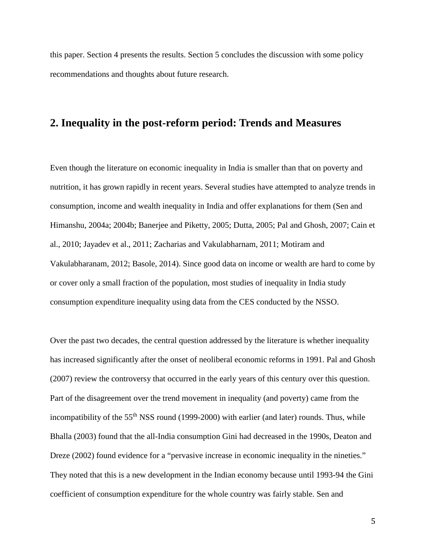this paper. Section 4 presents the results. Section 5 concludes the discussion with some policy recommendations and thoughts about future research.

# **2. Inequality in the post-reform period: Trends and Measures**

Even though the literature on economic inequality in India is smaller than that on poverty and nutrition, it has grown rapidly in recent years. Several studies have attempted to analyze trends in consumption, income and wealth inequality in India and offer explanations for them (Sen and Himanshu, 2004a; 2004b; Banerjee and Piketty, 2005; Dutta, 2005; Pal and Ghosh, 2007; Cain et al., 2010; Jayadev et al., 2011; Zacharias and Vakulabharnam, 2011; Motiram and Vakulabharanam, 2012; Basole, 2014). Since good data on income or wealth are hard to come by or cover only a small fraction of the population, most studies of inequality in India study consumption expenditure inequality using data from the CES conducted by the NSSO.

Over the past two decades, the central question addressed by the literature is whether inequality has increased significantly after the onset of neoliberal economic reforms in 1991. Pal and Ghosh (2007) review the controversy that occurred in the early years of this century over this question. Part of the disagreement over the trend movement in inequality (and poverty) came from the incompatibility of the 55<sup>th</sup> NSS round (1999-2000) with earlier (and later) rounds. Thus, while Bhalla (2003) found that the all-India consumption Gini had decreased in the 1990s, Deaton and Dreze (2002) found evidence for a "pervasive increase in economic inequality in the nineties." They noted that this is a new development in the Indian economy because until 1993-94 the Gini coefficient of consumption expenditure for the whole country was fairly stable. Sen and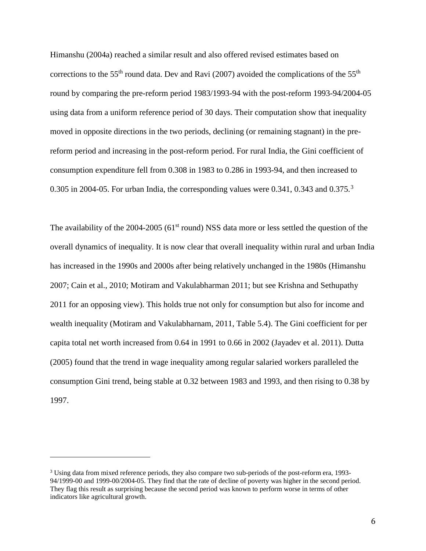Himanshu (2004a) reached a similar result and also offered revised estimates based on corrections to the 55<sup>th</sup> round data. Dev and Ravi (2007) avoided the complications of the 55<sup>th</sup> round by comparing the pre-reform period 1983/1993-94 with the post-reform 1993-94/2004-05 using data from a uniform reference period of 30 days. Their computation show that inequality moved in opposite directions in the two periods, declining (or remaining stagnant) in the prereform period and increasing in the post-reform period. For rural India, the Gini coefficient of consumption expenditure fell from 0.308 in 1983 to 0.286 in 1993-94, and then increased to 0.[3](#page-7-0)05 in 2004-05. For urban India, the corresponding values were 0.341, 0.343 and 0.375.<sup>3</sup>

The availability of the 2004-2005 ( $61<sup>st</sup>$  round) NSS data more or less settled the question of the overall dynamics of inequality. It is now clear that overall inequality within rural and urban India has increased in the 1990s and 2000s after being relatively unchanged in the 1980s (Himanshu 2007; Cain et al., 2010; Motiram and Vakulabharman 2011; but see Krishna and Sethupathy 2011 for an opposing view). This holds true not only for consumption but also for income and wealth inequality (Motiram and Vakulabharnam, 2011, Table 5.4). The Gini coefficient for per capita total net worth increased from 0.64 in 1991 to 0.66 in 2002 (Jayadev et al. 2011). Dutta (2005) found that the trend in wage inequality among regular salaried workers paralleled the consumption Gini trend, being stable at 0.32 between 1983 and 1993, and then rising to 0.38 by 1997.

i<br>I

<span id="page-7-0"></span><sup>3</sup> Using data from mixed reference periods, they also compare two sub-periods of the post-reform era, 1993- 94/1999-00 and 1999-00/2004-05. They find that the rate of decline of poverty was higher in the second period. They flag this result as surprising because the second period was known to perform worse in terms of other indicators like agricultural growth.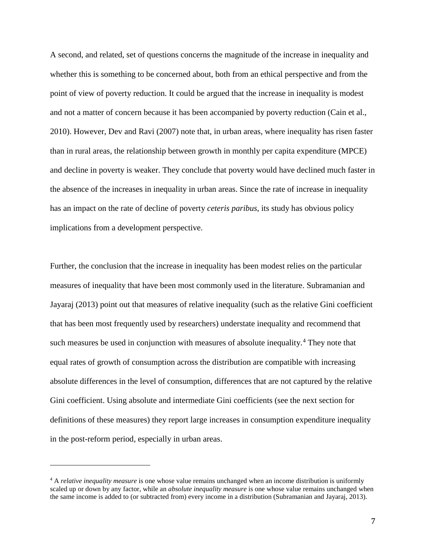A second, and related, set of questions concerns the magnitude of the increase in inequality and whether this is something to be concerned about, both from an ethical perspective and from the point of view of poverty reduction. It could be argued that the increase in inequality is modest and not a matter of concern because it has been accompanied by poverty reduction (Cain et al., 2010). However, Dev and Ravi (2007) note that, in urban areas, where inequality has risen faster than in rural areas, the relationship between growth in monthly per capita expenditure (MPCE) and decline in poverty is weaker. They conclude that poverty would have declined much faster in the absence of the increases in inequality in urban areas. Since the rate of increase in inequality has an impact on the rate of decline of poverty *ceteris paribus*, its study has obvious policy implications from a development perspective.

Further, the conclusion that the increase in inequality has been modest relies on the particular measures of inequality that have been most commonly used in the literature. Subramanian and Jayaraj (2013) point out that measures of relative inequality (such as the relative Gini coefficient that has been most frequently used by researchers) understate inequality and recommend that such measures be used in conjunction with measures of absolute inequality.<sup>[4](#page-8-0)</sup> They note that equal rates of growth of consumption across the distribution are compatible with increasing absolute differences in the level of consumption, differences that are not captured by the relative Gini coefficient. Using absolute and intermediate Gini coefficients (see the next section for definitions of these measures) they report large increases in consumption expenditure inequality in the post-reform period, especially in urban areas.

i<br>I

<span id="page-8-0"></span><sup>4</sup> A *relative inequality measure* is one whose value remains unchanged when an income distribution is uniformly scaled up or down by any factor, while an *absolute inequality measure* is one whose value remains unchanged when the same income is added to (or subtracted from) every income in a distribution (Subramanian and Jayaraj, 2013).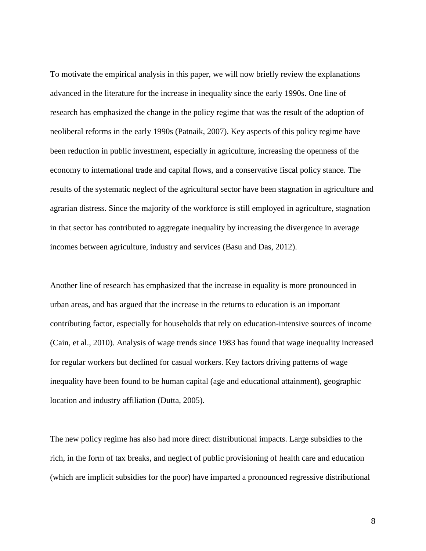To motivate the empirical analysis in this paper, we will now briefly review the explanations advanced in the literature for the increase in inequality since the early 1990s. One line of research has emphasized the change in the policy regime that was the result of the adoption of neoliberal reforms in the early 1990s (Patnaik, 2007). Key aspects of this policy regime have been reduction in public investment, especially in agriculture, increasing the openness of the economy to international trade and capital flows, and a conservative fiscal policy stance. The results of the systematic neglect of the agricultural sector have been stagnation in agriculture and agrarian distress. Since the majority of the workforce is still employed in agriculture, stagnation in that sector has contributed to aggregate inequality by increasing the divergence in average incomes between agriculture, industry and services (Basu and Das, 2012).

Another line of research has emphasized that the increase in equality is more pronounced in urban areas, and has argued that the increase in the returns to education is an important contributing factor, especially for households that rely on education-intensive sources of income (Cain, et al., 2010). Analysis of wage trends since 1983 has found that wage inequality increased for regular workers but declined for casual workers. Key factors driving patterns of wage inequality have been found to be human capital (age and educational attainment), geographic location and industry affiliation (Dutta, 2005).

The new policy regime has also had more direct distributional impacts. Large subsidies to the rich, in the form of tax breaks, and neglect of public provisioning of health care and education (which are implicit subsidies for the poor) have imparted a pronounced regressive distributional

8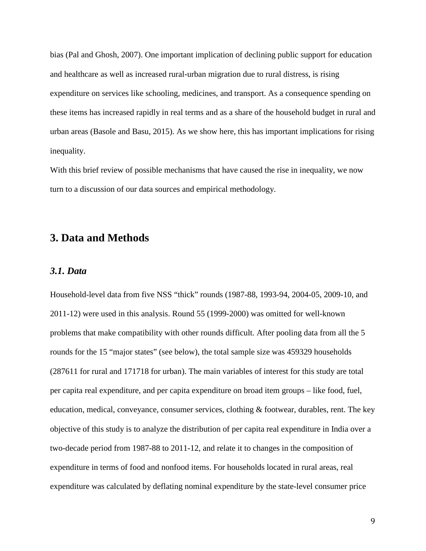bias (Pal and Ghosh, 2007). One important implication of declining public support for education and healthcare as well as increased rural-urban migration due to rural distress, is rising expenditure on services like schooling, medicines, and transport. As a consequence spending on these items has increased rapidly in real terms and as a share of the household budget in rural and urban areas (Basole and Basu, 2015). As we show here, this has important implications for rising inequality.

With this brief review of possible mechanisms that have caused the rise in inequality, we now turn to a discussion of our data sources and empirical methodology.

# **3. Data and Methods**

#### *3.1. Data*

Household-level data from five NSS "thick" rounds (1987-88, 1993-94, 2004-05, 2009-10, and 2011-12) were used in this analysis. Round 55 (1999-2000) was omitted for well-known problems that make compatibility with other rounds difficult. After pooling data from all the 5 rounds for the 15 "major states" (see below), the total sample size was 459329 households (287611 for rural and 171718 for urban). The main variables of interest for this study are total per capita real expenditure, and per capita expenditure on broad item groups – like food, fuel, education, medical, conveyance, consumer services, clothing & footwear, durables, rent. The key objective of this study is to analyze the distribution of per capita real expenditure in India over a two-decade period from 1987-88 to 2011-12, and relate it to changes in the composition of expenditure in terms of food and nonfood items. For households located in rural areas, real expenditure was calculated by deflating nominal expenditure by the state-level consumer price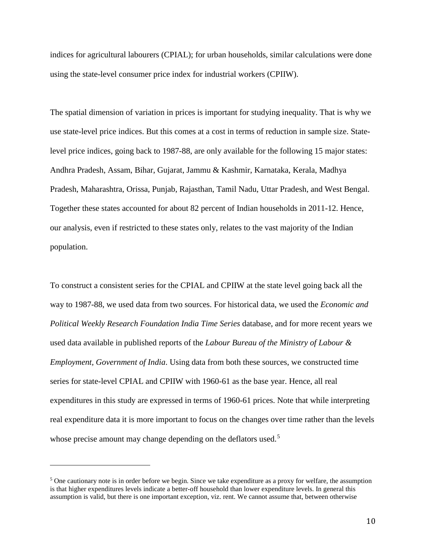indices for agricultural labourers (CPIAL); for urban households, similar calculations were done using the state-level consumer price index for industrial workers (CPIIW).

The spatial dimension of variation in prices is important for studying inequality. That is why we use state-level price indices. But this comes at a cost in terms of reduction in sample size. Statelevel price indices, going back to 1987-88, are only available for the following 15 major states: Andhra Pradesh, Assam, Bihar, Gujarat, Jammu & Kashmir, Karnataka, Kerala, Madhya Pradesh, Maharashtra, Orissa, Punjab, Rajasthan, Tamil Nadu, Uttar Pradesh, and West Bengal. Together these states accounted for about 82 percent of Indian households in 2011-12. Hence, our analysis, even if restricted to these states only, relates to the vast majority of the Indian population.

To construct a consistent series for the CPIAL and CPIIW at the state level going back all the way to 1987-88, we used data from two sources. For historical data, we used the *Economic and Political Weekly Research Foundation India Time Series* database, and for more recent years we used data available in published reports of the *Labour Bureau of the Ministry of Labour & Employment, Government of India*. Using data from both these sources, we constructed time series for state-level CPIAL and CPIIW with 1960-61 as the base year. Hence, all real expenditures in this study are expressed in terms of 1960-61 prices. Note that while interpreting real expenditure data it is more important to focus on the changes over time rather than the levels whose precise amount may change depending on the deflators used.<sup>[5](#page-11-0)</sup>

i<br>I

<span id="page-11-0"></span><sup>5</sup> One cautionary note is in order before we begin. Since we take expenditure as a proxy for welfare, the assumption is that higher expenditures levels indicate a better-off household than lower expenditure levels. In general this assumption is valid, but there is one important exception, viz. rent. We cannot assume that, between otherwise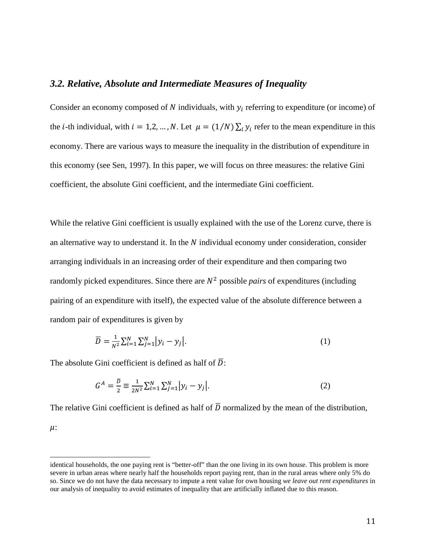#### *3.2. Relative, Absolute and Intermediate Measures of Inequality*

Consider an economy composed of N individuals, with  $y_i$  referring to expenditure (or income) of the *i*-th individual, with  $i = 1, 2, ..., N$ . Let  $\mu = (1/N) \sum_i y_i$  refer to the mean expenditure in this economy. There are various ways to measure the inequality in the distribution of expenditure in this economy (see Sen, 1997). In this paper, we will focus on three measures: the relative Gini coefficient, the absolute Gini coefficient, and the intermediate Gini coefficient.

While the relative Gini coefficient is usually explained with the use of the Lorenz curve, there is an alternative way to understand it. In the  $N$  individual economy under consideration, consider arranging individuals in an increasing order of their expenditure and then comparing two randomly picked expenditures. Since there are  $N^2$  possible *pairs* of expenditures (including pairing of an expenditure with itself), the expected value of the absolute difference between a random pair of expenditures is given by

$$
\overline{D} = \frac{1}{N^2} \sum_{i=1}^{N} \sum_{j=1}^{N} |y_i - y_j|.
$$
 (1)

The absolute Gini coefficient is defined as half of  $\overline{D}$ :

$$
G^{A} = \frac{\overline{D}}{2} \equiv \frac{1}{2N^{2}} \sum_{i=1}^{N} \sum_{j=1}^{N} |y_{i} - y_{j}|.
$$
 (2)

The relative Gini coefficient is defined as half of  $\overline{D}$  normalized by the mean of the distribution,  $\mu$ :

identical households, the one paying rent is "better-off" than the one living in its own house. This problem is more severe in urban areas where nearly half the households report paying rent, than in the rural areas where only 5% do so. Since we do not have the data necessary to impute a rent value for own housing *we leave out rent expenditures* in our analysis of inequality to avoid estimates of inequality that are artificially inflated due to this reason.  $\overline{a}$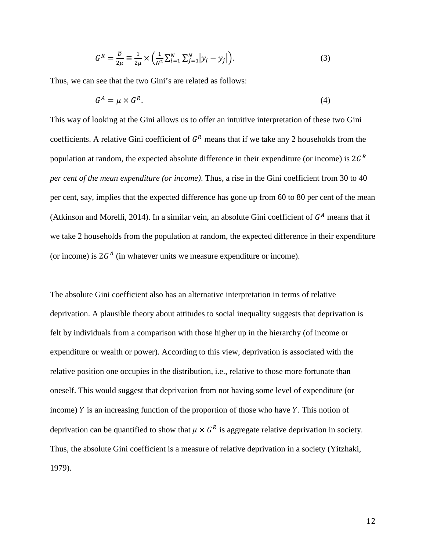$$
G^{R} = \frac{\bar{D}}{2\mu} \equiv \frac{1}{2\mu} \times \left( \frac{1}{N^{2}} \sum_{i=1}^{N} \sum_{j=1}^{N} |y_{i} - y_{j}| \right).
$$
 (3)

Thus, we can see that the two Gini's are related as follows:

$$
G^A = \mu \times G^R. \tag{4}
$$

This way of looking at the Gini allows us to offer an intuitive interpretation of these two Gini coefficients. A relative Gini coefficient of  $G<sup>R</sup>$  means that if we take any 2 households from the population at random, the expected absolute difference in their expenditure (or income) is  $2G<sup>R</sup>$ *per cent of the mean expenditure (or income)*. Thus, a rise in the Gini coefficient from 30 to 40 per cent, say, implies that the expected difference has gone up from 60 to 80 per cent of the mean (Atkinson and Morelli, 2014). In a similar vein, an absolute Gini coefficient of  $G<sup>A</sup>$  means that if we take 2 households from the population at random, the expected difference in their expenditure (or income) is  $2G<sup>A</sup>$  (in whatever units we measure expenditure or income).

The absolute Gini coefficient also has an alternative interpretation in terms of relative deprivation. A plausible theory about attitudes to social inequality suggests that deprivation is felt by individuals from a comparison with those higher up in the hierarchy (of income or expenditure or wealth or power). According to this view, deprivation is associated with the relative position one occupies in the distribution, i.e., relative to those more fortunate than oneself. This would suggest that deprivation from not having some level of expenditure (or income)  $Y$  is an increasing function of the proportion of those who have  $Y$ . This notion of deprivation can be quantified to show that  $\mu \times G^R$  is aggregate relative deprivation in society. Thus, the absolute Gini coefficient is a measure of relative deprivation in a society (Yitzhaki, 1979).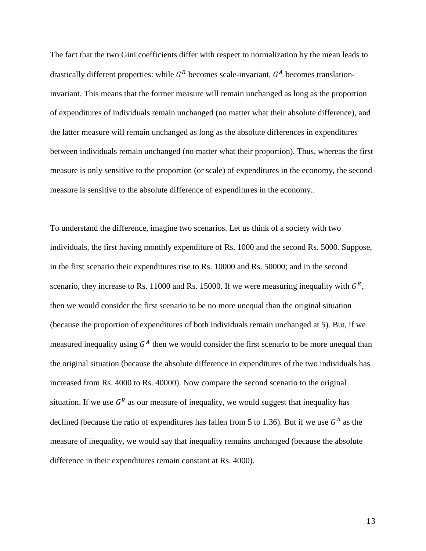The fact that the two Gini coefficients differ with respect to normalization by the mean leads to drastically different properties: while  $G<sup>R</sup>$  becomes scale-invariant,  $G<sup>A</sup>$  becomes translationinvariant. This means that the former measure will remain unchanged as long as the proportion of expenditures of individuals remain unchanged (no matter what their absolute difference), and the latter measure will remain unchanged as long as the absolute differences in expenditures between individuals remain unchanged (no matter what their proportion). Thus, whereas the first measure is only sensitive to the proportion (or scale) of expenditures in the economy, the second measure is sensitive to the absolute difference of expenditures in the economy..

To understand the difference, imagine two scenarios. Let us think of a society with two individuals, the first having monthly expenditure of Rs. 1000 and the second Rs. 5000. Suppose, in the first scenario their expenditures rise to Rs. 10000 and Rs. 50000; and in the second scenario, they increase to Rs. 11000 and Rs. 15000. If we were measuring inequality with  $G<sup>R</sup>$ , then we would consider the first scenario to be no more unequal than the original situation (because the proportion of expenditures of both individuals remain unchanged at 5). But, if we measured inequality using  $G<sup>A</sup>$  then we would consider the first scenario to be more unequal than the original situation (because the absolute difference in expenditures of the two individuals has increased from Rs. 4000 to Rs. 40000). Now compare the second scenario to the original situation. If we use  $G<sup>R</sup>$  as our measure of inequality, we would suggest that inequality has declined (because the ratio of expenditures has fallen from 5 to 1.36). But if we use  $G<sup>A</sup>$  as the measure of inequality, we would say that inequality remains unchanged (because the absolute difference in their expenditures remain constant at Rs. 4000).

13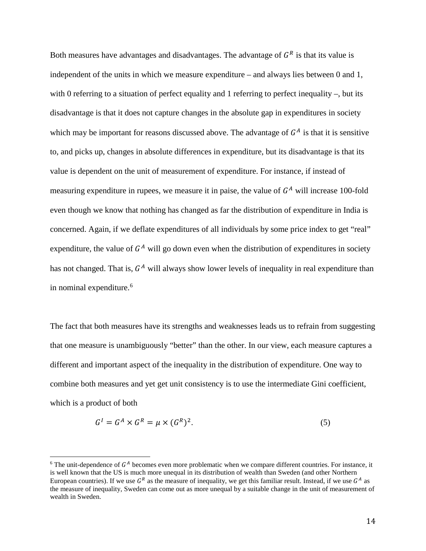Both measures have advantages and disadvantages. The advantage of  $G<sup>R</sup>$  is that its value is independent of the units in which we measure expenditure – and always lies between 0 and 1, with 0 referring to a situation of perfect equality and 1 referring to perfect inequality –, but its disadvantage is that it does not capture changes in the absolute gap in expenditures in society which may be important for reasons discussed above. The advantage of  $G<sup>A</sup>$  is that it is sensitive to, and picks up, changes in absolute differences in expenditure, but its disadvantage is that its value is dependent on the unit of measurement of expenditure. For instance, if instead of measuring expenditure in rupees, we measure it in paise, the value of  $G<sup>A</sup>$  will increase 100-fold even though we know that nothing has changed as far the distribution of expenditure in India is concerned. Again, if we deflate expenditures of all individuals by some price index to get "real" expenditure, the value of  $G<sup>A</sup>$  will go down even when the distribution of expenditures in society has not changed. That is,  $G<sup>A</sup>$  will always show lower levels of inequality in real expenditure than in nominal expenditure.<sup>[6](#page-15-0)</sup>

The fact that both measures have its strengths and weaknesses leads us to refrain from suggesting that one measure is unambiguously "better" than the other. In our view, each measure captures a different and important aspect of the inequality in the distribution of expenditure. One way to combine both measures and yet get unit consistency is to use the intermediate Gini coefficient, which is a product of both

$$
G^I = G^A \times G^R = \mu \times (G^R)^2. \tag{5}
$$

<span id="page-15-0"></span><sup>&</sup>lt;sup>6</sup> The unit-dependence of  $G<sup>A</sup>$  becomes even more problematic when we compare different countries. For instance, it is well known that the US is much more unequal in its distribution of wealth than Sweden (and other Northern European countries). If we use  $G<sup>R</sup>$  as the measure of inequality, we get this familiar result. Instead, if we use  $G<sup>A</sup>$  as the measure of inequality, Sweden can come out as more unequal by a suitable change in the unit of measurement of wealth in Sweden.  $\overline{\phantom{a}}$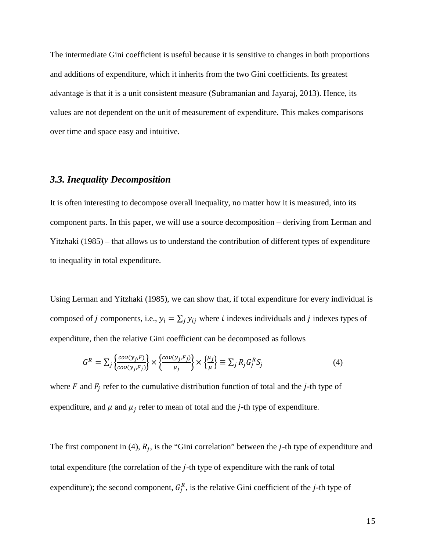The intermediate Gini coefficient is useful because it is sensitive to changes in both proportions and additions of expenditure, which it inherits from the two Gini coefficients. Its greatest advantage is that it is a unit consistent measure (Subramanian and Jayaraj, 2013). Hence, its values are not dependent on the unit of measurement of expenditure. This makes comparisons over time and space easy and intuitive.

# *3.3. Inequality Decomposition*

It is often interesting to decompose overall inequality, no matter how it is measured, into its component parts. In this paper, we will use a source decomposition – deriving from Lerman and Yitzhaki (1985) – that allows us to understand the contribution of different types of expenditure to inequality in total expenditure.

Using Lerman and Yitzhaki (1985), we can show that, if total expenditure for every individual is composed of *j* components, i.e.,  $y_i = \sum_j y_{ij}$  where *i* indexes individuals and *j* indexes types of expenditure, then the relative Gini coefficient can be decomposed as follows

$$
G^{R} = \sum_{j} \left\{ \frac{cov(y_j, F)}{cov(y_j, F_j)} \right\} \times \left\{ \frac{cov(y_j, F_j)}{\mu_j} \right\} \times \left\{ \frac{\mu_j}{\mu} \right\} \equiv \sum_{j} R_j G_j^R S_j \tag{4}
$$

where  $F$  and  $F_i$  refer to the cumulative distribution function of total and the j-th type of expenditure, and  $\mu$  and  $\mu_j$  refer to mean of total and the *j*-th type of expenditure.

The first component in (4),  $R_j$ , is the "Gini correlation" between the *j*-th type of expenditure and total expenditure (the correlation of the  $j$ -th type of expenditure with the rank of total expenditure); the second component,  $G_j^R$ , is the relative Gini coefficient of the *j*-th type of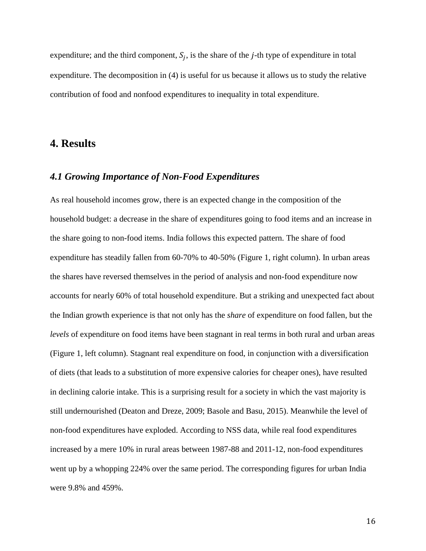expenditure; and the third component,  $S_i$ , is the share of the *j*-th type of expenditure in total expenditure. The decomposition in (4) is useful for us because it allows us to study the relative contribution of food and nonfood expenditures to inequality in total expenditure.

# **4. Results**

#### *4.1 Growing Importance of Non-Food Expenditures*

As real household incomes grow, there is an expected change in the composition of the household budget: a decrease in the share of expenditures going to food items and an increase in the share going to non-food items. India follows this expected pattern. The share of food expenditure has steadily fallen from 60-70% to 40-50% (Figure 1, right column). In urban areas the shares have reversed themselves in the period of analysis and non-food expenditure now accounts for nearly 60% of total household expenditure. But a striking and unexpected fact about the Indian growth experience is that not only has the *share* of expenditure on food fallen, but the *levels* of expenditure on food items have been stagnant in real terms in both rural and urban areas (Figure 1, left column). Stagnant real expenditure on food, in conjunction with a diversification of diets (that leads to a substitution of more expensive calories for cheaper ones), have resulted in declining calorie intake. This is a surprising result for a society in which the vast majority is still undernourished (Deaton and Dreze, 2009; Basole and Basu, 2015). Meanwhile the level of non-food expenditures have exploded. According to NSS data, while real food expenditures increased by a mere 10% in rural areas between 1987-88 and 2011-12, non-food expenditures went up by a whopping 224% over the same period. The corresponding figures for urban India were 9.8% and 459%.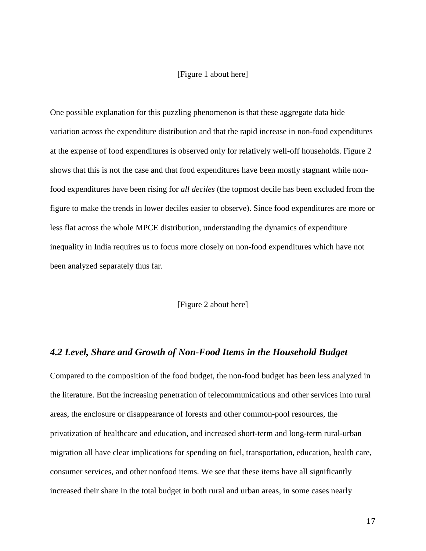#### [Figure 1 about here]

One possible explanation for this puzzling phenomenon is that these aggregate data hide variation across the expenditure distribution and that the rapid increase in non-food expenditures at the expense of food expenditures is observed only for relatively well-off households. Figure 2 shows that this is not the case and that food expenditures have been mostly stagnant while nonfood expenditures have been rising for *all deciles* (the topmost decile has been excluded from the figure to make the trends in lower deciles easier to observe). Since food expenditures are more or less flat across the whole MPCE distribution, understanding the dynamics of expenditure inequality in India requires us to focus more closely on non-food expenditures which have not been analyzed separately thus far.

#### [Figure 2 about here]

#### *4.2 Level, Share and Growth of Non-Food Items in the Household Budget*

Compared to the composition of the food budget, the non-food budget has been less analyzed in the literature. But the increasing penetration of telecommunications and other services into rural areas, the enclosure or disappearance of forests and other common-pool resources, the privatization of healthcare and education, and increased short-term and long-term rural-urban migration all have clear implications for spending on fuel, transportation, education, health care, consumer services, and other nonfood items. We see that these items have all significantly increased their share in the total budget in both rural and urban areas, in some cases nearly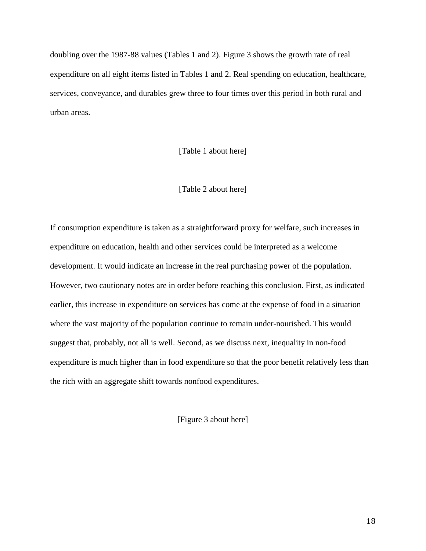doubling over the 1987-88 values (Tables 1 and 2). Figure 3 shows the growth rate of real expenditure on all eight items listed in Tables 1 and 2. Real spending on education, healthcare, services, conveyance, and durables grew three to four times over this period in both rural and urban areas.

#### [Table 1 about here]

#### [Table 2 about here]

If consumption expenditure is taken as a straightforward proxy for welfare, such increases in expenditure on education, health and other services could be interpreted as a welcome development. It would indicate an increase in the real purchasing power of the population. However, two cautionary notes are in order before reaching this conclusion. First, as indicated earlier, this increase in expenditure on services has come at the expense of food in a situation where the vast majority of the population continue to remain under-nourished. This would suggest that, probably, not all is well. Second, as we discuss next, inequality in non-food expenditure is much higher than in food expenditure so that the poor benefit relatively less than the rich with an aggregate shift towards nonfood expenditures.

[Figure 3 about here]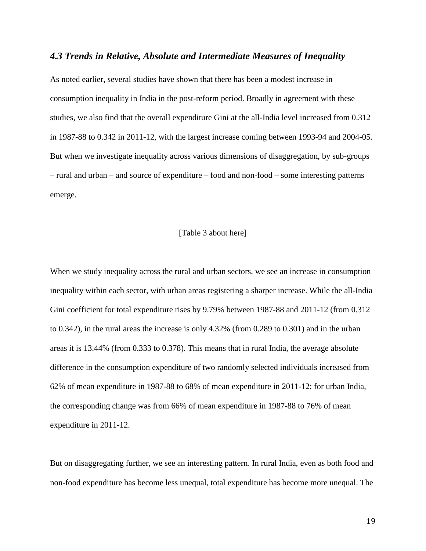#### *4.3 Trends in Relative, Absolute and Intermediate Measures of Inequality*

As noted earlier, several studies have shown that there has been a modest increase in consumption inequality in India in the post-reform period. Broadly in agreement with these studies, we also find that the overall expenditure Gini at the all-India level increased from 0.312 in 1987-88 to 0.342 in 2011-12, with the largest increase coming between 1993-94 and 2004-05. But when we investigate inequality across various dimensions of disaggregation, by sub-groups – rural and urban – and source of expenditure – food and non-food – some interesting patterns emerge.

#### [Table 3 about here]

When we study inequality across the rural and urban sectors, we see an increase in consumption inequality within each sector, with urban areas registering a sharper increase. While the all-India Gini coefficient for total expenditure rises by 9.79% between 1987-88 and 2011-12 (from 0.312 to 0.342), in the rural areas the increase is only 4.32% (from 0.289 to 0.301) and in the urban areas it is 13.44% (from 0.333 to 0.378). This means that in rural India, the average absolute difference in the consumption expenditure of two randomly selected individuals increased from 62% of mean expenditure in 1987-88 to 68% of mean expenditure in 2011-12; for urban India, the corresponding change was from 66% of mean expenditure in 1987-88 to 76% of mean expenditure in 2011-12.

But on disaggregating further, we see an interesting pattern. In rural India, even as both food and non-food expenditure has become less unequal, total expenditure has become more unequal. The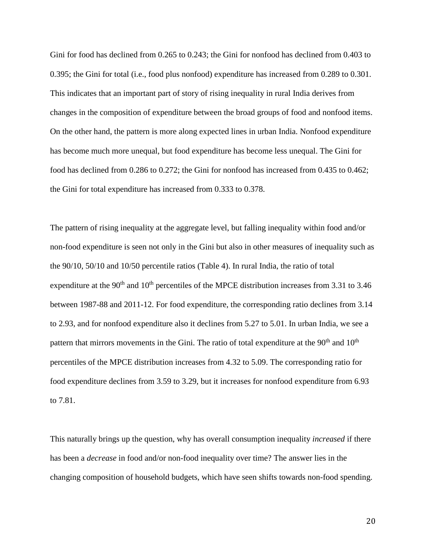Gini for food has declined from 0.265 to 0.243; the Gini for nonfood has declined from 0.403 to 0.395; the Gini for total (i.e., food plus nonfood) expenditure has increased from 0.289 to 0.301. This indicates that an important part of story of rising inequality in rural India derives from changes in the composition of expenditure between the broad groups of food and nonfood items. On the other hand, the pattern is more along expected lines in urban India. Nonfood expenditure has become much more unequal, but food expenditure has become less unequal. The Gini for food has declined from 0.286 to 0.272; the Gini for nonfood has increased from 0.435 to 0.462; the Gini for total expenditure has increased from 0.333 to 0.378.

The pattern of rising inequality at the aggregate level, but falling inequality within food and/or non-food expenditure is seen not only in the Gini but also in other measures of inequality such as the 90/10, 50/10 and 10/50 percentile ratios (Table 4). In rural India, the ratio of total expenditure at the  $90<sup>th</sup>$  and  $10<sup>th</sup>$  percentiles of the MPCE distribution increases from 3.31 to 3.46 between 1987-88 and 2011-12. For food expenditure, the corresponding ratio declines from 3.14 to 2.93, and for nonfood expenditure also it declines from 5.27 to 5.01. In urban India, we see a pattern that mirrors movements in the Gini. The ratio of total expenditure at the 90<sup>th</sup> and 10<sup>th</sup> percentiles of the MPCE distribution increases from 4.32 to 5.09. The corresponding ratio for food expenditure declines from 3.59 to 3.29, but it increases for nonfood expenditure from 6.93 to 7.81.

This naturally brings up the question, why has overall consumption inequality *increased* if there has been a *decrease* in food and/or non-food inequality over time? The answer lies in the changing composition of household budgets, which have seen shifts towards non-food spending.

20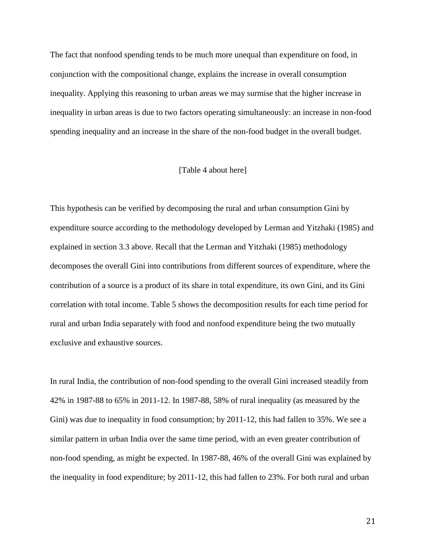The fact that nonfood spending tends to be much more unequal than expenditure on food, in conjunction with the compositional change, explains the increase in overall consumption inequality. Applying this reasoning to urban areas we may surmise that the higher increase in inequality in urban areas is due to two factors operating simultaneously: an increase in non-food spending inequality and an increase in the share of the non-food budget in the overall budget.

#### [Table 4 about here]

This hypothesis can be verified by decomposing the rural and urban consumption Gini by expenditure source according to the methodology developed by Lerman and Yitzhaki (1985) and explained in section 3.3 above. Recall that the Lerman and Yitzhaki (1985) methodology decomposes the overall Gini into contributions from different sources of expenditure, where the contribution of a source is a product of its share in total expenditure, its own Gini, and its Gini correlation with total income. Table 5 shows the decomposition results for each time period for rural and urban India separately with food and nonfood expenditure being the two mutually exclusive and exhaustive sources.

In rural India, the contribution of non-food spending to the overall Gini increased steadily from 42% in 1987-88 to 65% in 2011-12. In 1987-88, 58% of rural inequality (as measured by the Gini) was due to inequality in food consumption; by 2011-12, this had fallen to 35%. We see a similar pattern in urban India over the same time period, with an even greater contribution of non-food spending, as might be expected. In 1987-88, 46% of the overall Gini was explained by the inequality in food expenditure; by 2011-12, this had fallen to 23%. For both rural and urban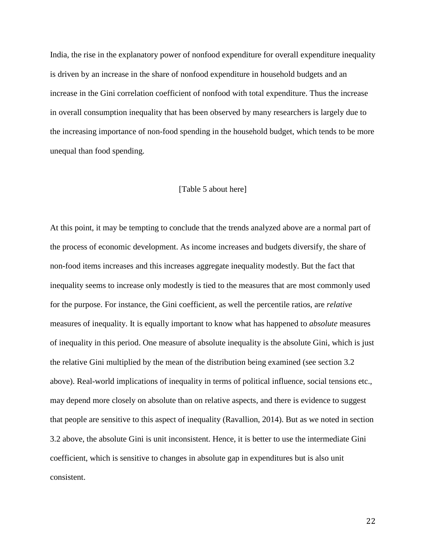India, the rise in the explanatory power of nonfood expenditure for overall expenditure inequality is driven by an increase in the share of nonfood expenditure in household budgets and an increase in the Gini correlation coefficient of nonfood with total expenditure. Thus the increase in overall consumption inequality that has been observed by many researchers is largely due to the increasing importance of non-food spending in the household budget, which tends to be more unequal than food spending.

#### [Table 5 about here]

At this point, it may be tempting to conclude that the trends analyzed above are a normal part of the process of economic development. As income increases and budgets diversify, the share of non-food items increases and this increases aggregate inequality modestly. But the fact that inequality seems to increase only modestly is tied to the measures that are most commonly used for the purpose. For instance, the Gini coefficient, as well the percentile ratios, are *relative* measures of inequality. It is equally important to know what has happened to *absolute* measures of inequality in this period. One measure of absolute inequality is the absolute Gini, which is just the relative Gini multiplied by the mean of the distribution being examined (see section 3.2 above). Real-world implications of inequality in terms of political influence, social tensions etc., may depend more closely on absolute than on relative aspects, and there is evidence to suggest that people are sensitive to this aspect of inequality (Ravallion, 2014). But as we noted in section 3.2 above, the absolute Gini is unit inconsistent. Hence, it is better to use the intermediate Gini coefficient, which is sensitive to changes in absolute gap in expenditures but is also unit consistent.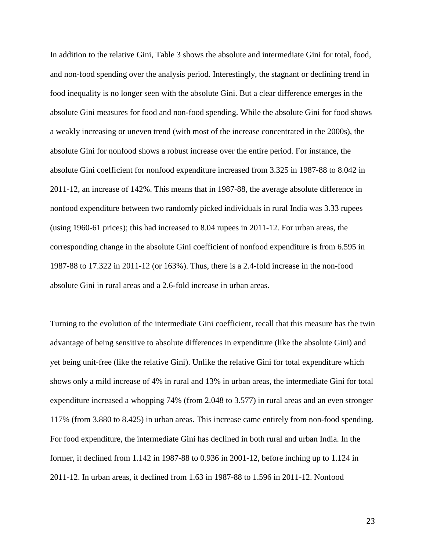In addition to the relative Gini, Table 3 shows the absolute and intermediate Gini for total, food, and non-food spending over the analysis period. Interestingly, the stagnant or declining trend in food inequality is no longer seen with the absolute Gini. But a clear difference emerges in the absolute Gini measures for food and non-food spending. While the absolute Gini for food shows a weakly increasing or uneven trend (with most of the increase concentrated in the 2000s), the absolute Gini for nonfood shows a robust increase over the entire period. For instance, the absolute Gini coefficient for nonfood expenditure increased from 3.325 in 1987-88 to 8.042 in 2011-12, an increase of 142%. This means that in 1987-88, the average absolute difference in nonfood expenditure between two randomly picked individuals in rural India was 3.33 rupees (using 1960-61 prices); this had increased to 8.04 rupees in 2011-12. For urban areas, the corresponding change in the absolute Gini coefficient of nonfood expenditure is from 6.595 in 1987-88 to 17.322 in 2011-12 (or 163%). Thus, there is a 2.4-fold increase in the non-food absolute Gini in rural areas and a 2.6-fold increase in urban areas.

Turning to the evolution of the intermediate Gini coefficient, recall that this measure has the twin advantage of being sensitive to absolute differences in expenditure (like the absolute Gini) and yet being unit-free (like the relative Gini). Unlike the relative Gini for total expenditure which shows only a mild increase of 4% in rural and 13% in urban areas, the intermediate Gini for total expenditure increased a whopping 74% (from 2.048 to 3.577) in rural areas and an even stronger 117% (from 3.880 to 8.425) in urban areas. This increase came entirely from non-food spending. For food expenditure, the intermediate Gini has declined in both rural and urban India. In the former, it declined from 1.142 in 1987-88 to 0.936 in 2001-12, before inching up to 1.124 in 2011-12. In urban areas, it declined from 1.63 in 1987-88 to 1.596 in 2011-12. Nonfood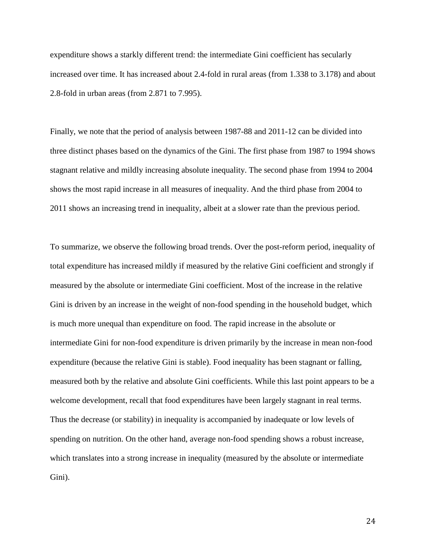expenditure shows a starkly different trend: the intermediate Gini coefficient has secularly increased over time. It has increased about 2.4-fold in rural areas (from 1.338 to 3.178) and about 2.8-fold in urban areas (from 2.871 to 7.995).

Finally, we note that the period of analysis between 1987-88 and 2011-12 can be divided into three distinct phases based on the dynamics of the Gini. The first phase from 1987 to 1994 shows stagnant relative and mildly increasing absolute inequality. The second phase from 1994 to 2004 shows the most rapid increase in all measures of inequality. And the third phase from 2004 to 2011 shows an increasing trend in inequality, albeit at a slower rate than the previous period.

To summarize, we observe the following broad trends. Over the post-reform period, inequality of total expenditure has increased mildly if measured by the relative Gini coefficient and strongly if measured by the absolute or intermediate Gini coefficient. Most of the increase in the relative Gini is driven by an increase in the weight of non-food spending in the household budget, which is much more unequal than expenditure on food. The rapid increase in the absolute or intermediate Gini for non-food expenditure is driven primarily by the increase in mean non-food expenditure (because the relative Gini is stable). Food inequality has been stagnant or falling, measured both by the relative and absolute Gini coefficients. While this last point appears to be a welcome development, recall that food expenditures have been largely stagnant in real terms. Thus the decrease (or stability) in inequality is accompanied by inadequate or low levels of spending on nutrition. On the other hand, average non-food spending shows a robust increase, which translates into a strong increase in inequality (measured by the absolute or intermediate Gini).

24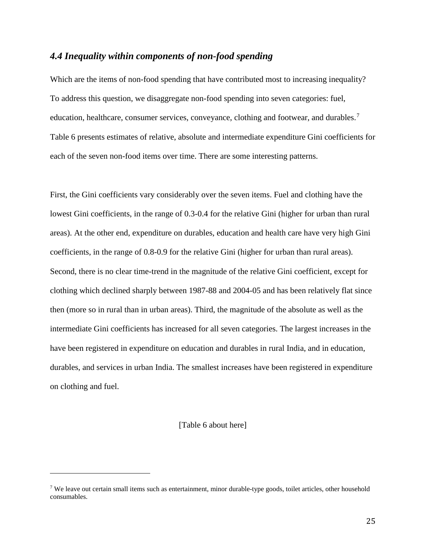### *4.4 Inequality within components of non-food spending*

Which are the items of non-food spending that have contributed most to increasing inequality? To address this question, we disaggregate non-food spending into seven categories: fuel, education, healthcare, consumer services, conveyance, clothing and footwear, and durables.<sup>[7](#page-26-0)</sup> Table 6 presents estimates of relative, absolute and intermediate expenditure Gini coefficients for each of the seven non-food items over time. There are some interesting patterns.

First, the Gini coefficients vary considerably over the seven items. Fuel and clothing have the lowest Gini coefficients, in the range of 0.3-0.4 for the relative Gini (higher for urban than rural areas). At the other end, expenditure on durables, education and health care have very high Gini coefficients, in the range of 0.8-0.9 for the relative Gini (higher for urban than rural areas). Second, there is no clear time-trend in the magnitude of the relative Gini coefficient, except for clothing which declined sharply between 1987-88 and 2004-05 and has been relatively flat since then (more so in rural than in urban areas). Third, the magnitude of the absolute as well as the intermediate Gini coefficients has increased for all seven categories. The largest increases in the have been registered in expenditure on education and durables in rural India, and in education, durables, and services in urban India. The smallest increases have been registered in expenditure on clothing and fuel.

[Table 6 about here]

I

<span id="page-26-0"></span><sup>&</sup>lt;sup>7</sup> We leave out certain small items such as entertainment, minor durable-type goods, toilet articles, other household consumables.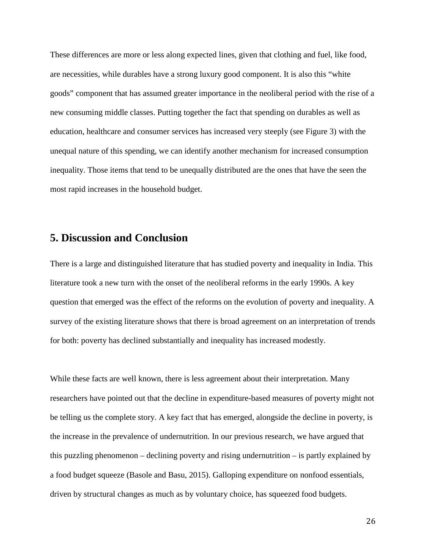These differences are more or less along expected lines, given that clothing and fuel, like food, are necessities, while durables have a strong luxury good component. It is also this "white goods" component that has assumed greater importance in the neoliberal period with the rise of a new consuming middle classes. Putting together the fact that spending on durables as well as education, healthcare and consumer services has increased very steeply (see Figure 3) with the unequal nature of this spending, we can identify another mechanism for increased consumption inequality. Those items that tend to be unequally distributed are the ones that have the seen the most rapid increases in the household budget.

# **5. Discussion and Conclusion**

There is a large and distinguished literature that has studied poverty and inequality in India. This literature took a new turn with the onset of the neoliberal reforms in the early 1990s. A key question that emerged was the effect of the reforms on the evolution of poverty and inequality. A survey of the existing literature shows that there is broad agreement on an interpretation of trends for both: poverty has declined substantially and inequality has increased modestly.

While these facts are well known, there is less agreement about their interpretation. Many researchers have pointed out that the decline in expenditure-based measures of poverty might not be telling us the complete story. A key fact that has emerged, alongside the decline in poverty, is the increase in the prevalence of undernutrition. In our previous research, we have argued that this puzzling phenomenon – declining poverty and rising undernutrition – is partly explained by a food budget squeeze (Basole and Basu, 2015). Galloping expenditure on nonfood essentials, driven by structural changes as much as by voluntary choice, has squeezed food budgets.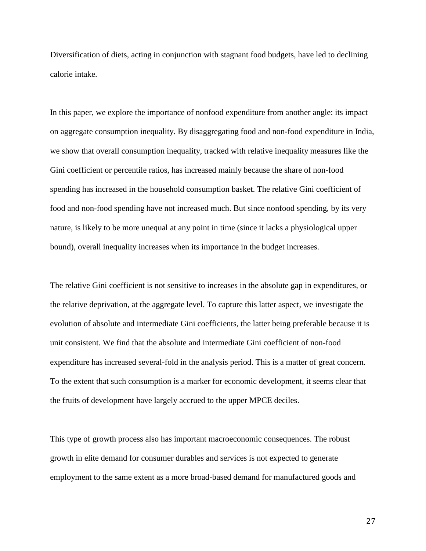Diversification of diets, acting in conjunction with stagnant food budgets, have led to declining calorie intake.

In this paper, we explore the importance of nonfood expenditure from another angle: its impact on aggregate consumption inequality. By disaggregating food and non-food expenditure in India, we show that overall consumption inequality, tracked with relative inequality measures like the Gini coefficient or percentile ratios, has increased mainly because the share of non-food spending has increased in the household consumption basket. The relative Gini coefficient of food and non-food spending have not increased much. But since nonfood spending, by its very nature, is likely to be more unequal at any point in time (since it lacks a physiological upper bound), overall inequality increases when its importance in the budget increases.

The relative Gini coefficient is not sensitive to increases in the absolute gap in expenditures, or the relative deprivation, at the aggregate level. To capture this latter aspect, we investigate the evolution of absolute and intermediate Gini coefficients, the latter being preferable because it is unit consistent. We find that the absolute and intermediate Gini coefficient of non-food expenditure has increased several-fold in the analysis period. This is a matter of great concern. To the extent that such consumption is a marker for economic development, it seems clear that the fruits of development have largely accrued to the upper MPCE deciles.

This type of growth process also has important macroeconomic consequences. The robust growth in elite demand for consumer durables and services is not expected to generate employment to the same extent as a more broad-based demand for manufactured goods and

27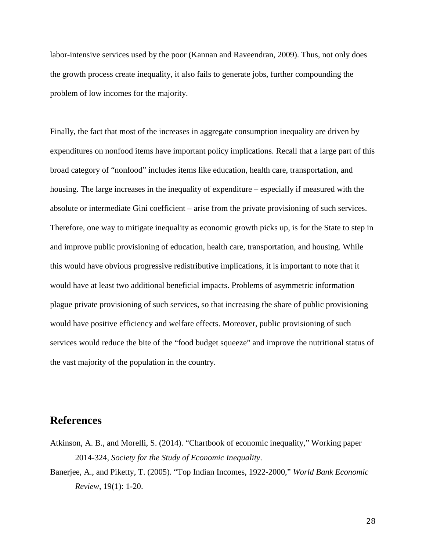labor-intensive services used by the poor (Kannan and Raveendran, 2009). Thus, not only does the growth process create inequality, it also fails to generate jobs, further compounding the problem of low incomes for the majority.

Finally, the fact that most of the increases in aggregate consumption inequality are driven by expenditures on nonfood items have important policy implications. Recall that a large part of this broad category of "nonfood" includes items like education, health care, transportation, and housing. The large increases in the inequality of expenditure – especially if measured with the absolute or intermediate Gini coefficient – arise from the private provisioning of such services. Therefore, one way to mitigate inequality as economic growth picks up, is for the State to step in and improve public provisioning of education, health care, transportation, and housing. While this would have obvious progressive redistributive implications, it is important to note that it would have at least two additional beneficial impacts. Problems of asymmetric information plague private provisioning of such services, so that increasing the share of public provisioning would have positive efficiency and welfare effects. Moreover, public provisioning of such services would reduce the bite of the "food budget squeeze" and improve the nutritional status of the vast majority of the population in the country.

# **References**

- Atkinson, A. B., and Morelli, S. (2014). "Chartbook of economic inequality," Working paper 2014-324, *Society for the Study of Economic Inequality*.
- Banerjee, A., and Piketty, T. (2005). "Top Indian Incomes, 1922-2000," *World Bank Economic Review*, 19(1): 1-20.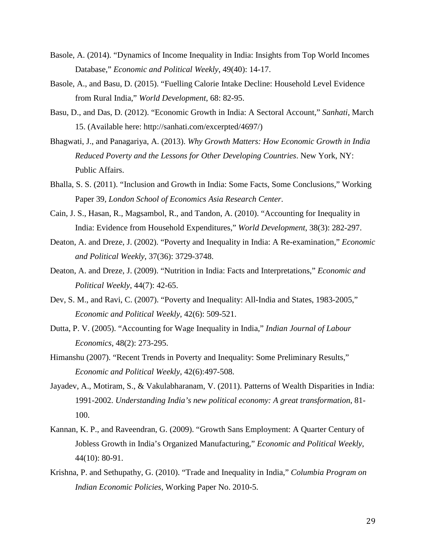- Basole, A. (2014). "Dynamics of Income Inequality in India: Insights from Top World Incomes Database," *Economic and Political Weekly*, 49(40): 14-17.
- Basole, A., and Basu, D. (2015). "Fuelling Calorie Intake Decline: Household Level Evidence from Rural India," *World Development*, 68: 82-95.
- Basu, D., and Das, D. (2012). "Economic Growth in India: A Sectoral Account," *Sanhati*, March 15. (Available here: http://sanhati.com/excerpted/4697/)
- Bhagwati, J., and Panagariya, A. (2013). *Why Growth Matters: How Economic Growth in India Reduced Poverty and the Lessons for Other Developing Countries*. New York, NY: Public Affairs.
- Bhalla, S. S. (2011). "Inclusion and Growth in India: Some Facts, Some Conclusions," Working Paper 39, *London School of Economics Asia Research Center*.
- Cain, J. S., Hasan, R., Magsambol, R., and Tandon, A. (2010). "Accounting for Inequality in India: Evidence from Household Expenditures," *World Development*, 38(3): 282-297.
- Deaton, A. and Dreze, J. (2002). "Poverty and Inequality in India: A Re-examination," *Economic and Political Weekly*, 37(36): 3729-3748.
- Deaton, A. and Dreze, J. (2009). "Nutrition in India: Facts and Interpretations," *Economic and Political Weekly*, 44(7): 42-65.
- Dev, S. M., and Ravi, C. (2007). "Poverty and Inequality: All-India and States, 1983-2005," *Economic and Political Weekly*, 42(6): 509-521.
- Dutta, P. V. (2005). "Accounting for Wage Inequality in India," *Indian Journal of Labour Economics*, 48(2): 273-295.
- Himanshu (2007). "Recent Trends in Poverty and Inequality: Some Preliminary Results," *Economic and Political Weekly*, 42(6):497-508.
- Jayadev, A., Motiram, S., & Vakulabharanam, V. (2011). Patterns of Wealth Disparities in India: 1991-2002. *Understanding India's new political economy: A great transformation*, 81- 100.
- Kannan, K. P., and Raveendran, G. (2009). "Growth Sans Employment: A Quarter Century of Jobless Growth in India's Organized Manufacturing," *Economic and Political Weekly*, 44(10): 80-91.
- Krishna, P. and Sethupathy, G. (2010). "Trade and Inequality in India," *Columbia Program on Indian Economic Policies*, Working Paper No. 2010-5.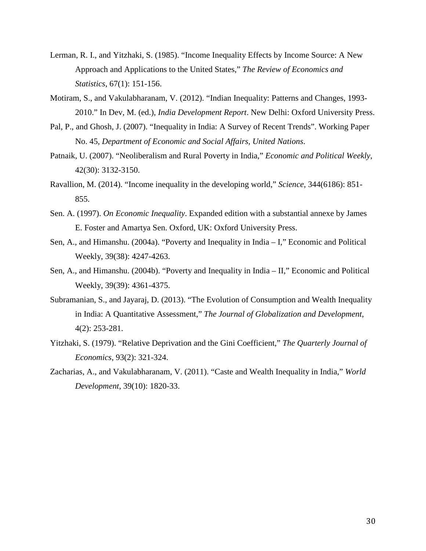- Lerman, R. I., and Yitzhaki, S. (1985). "Income Inequality Effects by Income Source: A New Approach and Applications to the United States," *The Review of Economics and Statistics*, 67(1): 151-156.
- Motiram, S., and Vakulabharanam, V. (2012). "Indian Inequality: Patterns and Changes, 1993- 2010." In Dev, M. (ed.), *India Development Report*. New Delhi: Oxford University Press.
- Pal, P., and Ghosh, J. (2007). "Inequality in India: A Survey of Recent Trends". Working Paper No. 45, *Department of Economic and Social Affairs, United Nations*.
- Patnaik, U. (2007). "Neoliberalism and Rural Poverty in India," *Economic and Political Weekly*, 42(30): 3132-3150.
- Ravallion, M. (2014). "Income inequality in the developing world," *Science*, 344(6186): 851- 855.
- Sen. A. (1997). *On Economic Inequality*. Expanded edition with a substantial annexe by James E. Foster and Amartya Sen. Oxford, UK: Oxford University Press.
- Sen, A., and Himanshu. (2004a). "Poverty and Inequality in India I," Economic and Political Weekly, 39(38): 4247-4263.
- Sen, A., and Himanshu. (2004b). "Poverty and Inequality in India II," Economic and Political Weekly, 39(39): 4361-4375.
- Subramanian, S., and Jayaraj, D. (2013). "The Evolution of Consumption and Wealth Inequality in India: A Quantitative Assessment," *The Journal of Globalization and Development*, 4(2): 253-281.
- Yitzhaki, S. (1979). "Relative Deprivation and the Gini Coefficient," *The Quarterly Journal of Economics*, 93(2): 321-324.
- Zacharias, A., and Vakulabharanam, V. (2011). "Caste and Wealth Inequality in India," *World Development*, 39(10): 1820-33.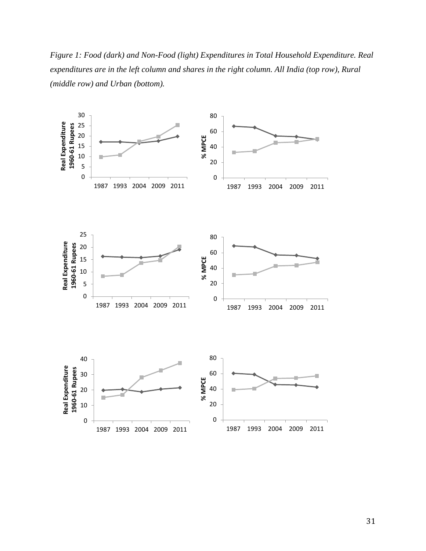*Figure 1: Food (dark) and Non-Food (light) Expenditures in Total Household Expenditure. Real expenditures are in the left column and shares in the right column. All India (top row), Rural (middle row) and Urban (bottom).*

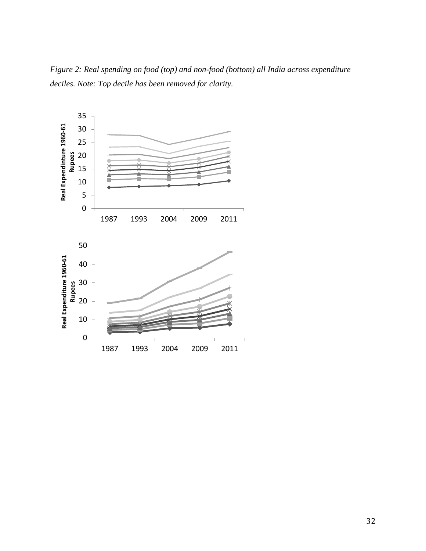*Figure 2: Real spending on food (top) and non-food (bottom) all India across expenditure deciles. Note: Top decile has been removed for clarity.*

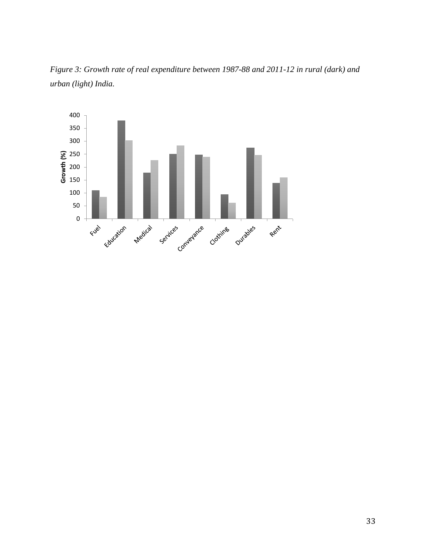

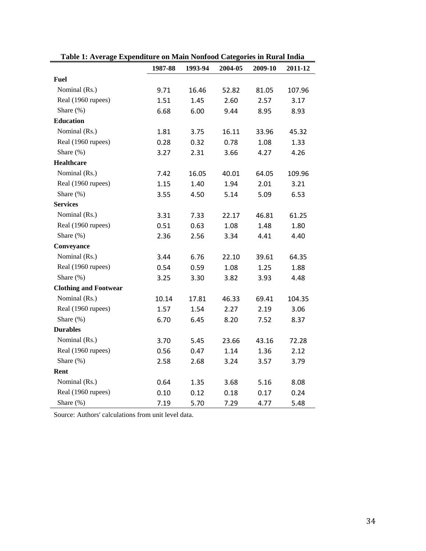| галс 1. Аусгадс Ехрепините он глангтуошоой Саседотез III кигат пина | 1987-88 | 1993-94 | 2004-05 | 2009-10 | 2011-12 |  |
|---------------------------------------------------------------------|---------|---------|---------|---------|---------|--|
| <b>Fuel</b>                                                         |         |         |         |         |         |  |
| Nominal (Rs.)                                                       | 9.71    | 16.46   | 52.82   | 81.05   | 107.96  |  |
| Real (1960 rupees)                                                  | 1.51    | 1.45    | 2.60    | 2.57    | 3.17    |  |
| Share (%)                                                           | 6.68    | 6.00    | 9.44    | 8.95    | 8.93    |  |
| <b>Education</b>                                                    |         |         |         |         |         |  |
| Nominal (Rs.)                                                       | 1.81    | 3.75    | 16.11   | 33.96   | 45.32   |  |
| Real (1960 rupees)                                                  | 0.28    | 0.32    | 0.78    | 1.08    | 1.33    |  |
| Share (%)                                                           | 3.27    | 2.31    | 3.66    | 4.27    | 4.26    |  |
| <b>Healthcare</b>                                                   |         |         |         |         |         |  |
| Nominal (Rs.)                                                       | 7.42    | 16.05   | 40.01   | 64.05   | 109.96  |  |
| Real (1960 rupees)                                                  | 1.15    | 1.40    | 1.94    | 2.01    | 3.21    |  |
| Share $(\%)$                                                        | 3.55    | 4.50    | 5.14    | 5.09    | 6.53    |  |
| <b>Services</b>                                                     |         |         |         |         |         |  |
| Nominal (Rs.)                                                       | 3.31    | 7.33    | 22.17   | 46.81   | 61.25   |  |
| Real (1960 rupees)                                                  | 0.51    | 0.63    | 1.08    | 1.48    | 1.80    |  |
| Share (%)                                                           | 2.36    | 2.56    | 3.34    | 4.41    | 4.40    |  |
| Conveyance                                                          |         |         |         |         |         |  |
| Nominal (Rs.)                                                       | 3.44    | 6.76    | 22.10   | 39.61   | 64.35   |  |
| Real (1960 rupees)                                                  | 0.54    | 0.59    | 1.08    | 1.25    | 1.88    |  |
| Share $(\%)$                                                        | 3.25    | 3.30    | 3.82    | 3.93    | 4.48    |  |
| <b>Clothing and Footwear</b>                                        |         |         |         |         |         |  |
| Nominal (Rs.)                                                       | 10.14   | 17.81   | 46.33   | 69.41   | 104.35  |  |
| Real (1960 rupees)                                                  | 1.57    | 1.54    | 2.27    | 2.19    | 3.06    |  |
| Share $(\%)$                                                        | 6.70    | 6.45    | 8.20    | 7.52    | 8.37    |  |
| <b>Durables</b>                                                     |         |         |         |         |         |  |
| Nominal (Rs.)                                                       | 3.70    | 5.45    | 23.66   | 43.16   | 72.28   |  |
| Real (1960 rupees)                                                  | 0.56    | 0.47    | 1.14    | 1.36    | 2.12    |  |
| Share (%)                                                           | 2.58    | 2.68    | 3.24    | 3.57    | 3.79    |  |
| Rent                                                                |         |         |         |         |         |  |
| Nominal (Rs.)                                                       | 0.64    | 1.35    | 3.68    | 5.16    | 8.08    |  |
| Real (1960 rupees)                                                  | 0.10    | 0.12    | 0.18    | 0.17    | 0.24    |  |
| Share (%)                                                           | 7.19    | 5.70    | 7.29    | 4.77    | 5.48    |  |

**Table 1: Average Expenditure on Main Nonfood Categories in Rural India**

Source: Authors' calculations from unit level data.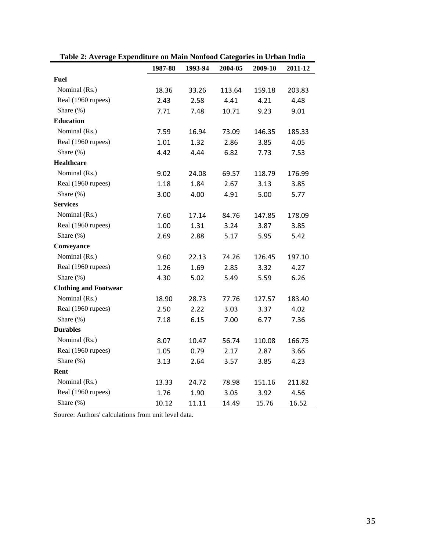| таліс 2. Аустаgе Ехрепините он глані гоппови Сатеgогіез пі стілан піша |         |              |         |         |         |  |
|------------------------------------------------------------------------|---------|--------------|---------|---------|---------|--|
|                                                                        | 1987-88 | 1993-94      | 2004-05 | 2009-10 | 2011-12 |  |
| <b>Fuel</b>                                                            |         |              |         |         |         |  |
| Nominal (Rs.)                                                          | 18.36   | 33.26        | 113.64  | 159.18  | 203.83  |  |
| Real (1960 rupees)                                                     | 2.43    | 2.58         | 4.41    | 4.21    | 4.48    |  |
| Share $(\%)$                                                           | 7.71    | 7.48         | 10.71   | 9.23    | 9.01    |  |
| <b>Education</b>                                                       |         |              |         |         |         |  |
| Nominal (Rs.)                                                          | 7.59    | 16.94        | 73.09   | 146.35  | 185.33  |  |
| Real (1960 rupees)                                                     | 1.01    | 1.32         | 2.86    | 3.85    | 4.05    |  |
| Share (%)                                                              | 4.42    | 4.44         | 6.82    | 7.73    | 7.53    |  |
| <b>Healthcare</b>                                                      |         |              |         |         |         |  |
| Nominal (Rs.)                                                          | 9.02    | 24.08        | 69.57   | 118.79  | 176.99  |  |
| Real (1960 rupees)                                                     | 1.18    | 1.84         | 2.67    | 3.13    | 3.85    |  |
| Share (%)                                                              | 3.00    | 4.00         | 4.91    | 5.00    | 5.77    |  |
| <b>Services</b>                                                        |         |              |         |         |         |  |
| Nominal (Rs.)                                                          | 7.60    | 17.14        | 84.76   | 147.85  | 178.09  |  |
| Real (1960 rupees)                                                     | 1.00    | 1.31         | 3.24    | 3.87    | 3.85    |  |
| Share $(\%)$                                                           | 2.69    | 2.88         | 5.17    | 5.95    | 5.42    |  |
| Conveyance                                                             |         |              |         |         |         |  |
| Nominal (Rs.)                                                          | 9.60    | 22.13        | 74.26   | 126.45  | 197.10  |  |
| Real (1960 rupees)                                                     | 1.26    | 1.69<br>2.85 |         | 3.32    | 4.27    |  |
| Share $(\%)$                                                           | 4.30    | 5.02         | 5.49    | 5.59    | 6.26    |  |
| <b>Clothing and Footwear</b>                                           |         |              |         |         |         |  |
| Nominal (Rs.)                                                          | 18.90   | 28.73        | 77.76   | 127.57  | 183.40  |  |
| Real (1960 rupees)                                                     | 2.50    | 2.22         | 3.03    | 3.37    | 4.02    |  |
| Share (%)                                                              | 7.18    | 6.15         | 7.00    | 6.77    | 7.36    |  |
| <b>Durables</b>                                                        |         |              |         |         |         |  |
| Nominal (Rs.)                                                          | 8.07    | 10.47        | 56.74   | 110.08  | 166.75  |  |
| Real (1960 rupees)                                                     | 1.05    | 0.79         | 2.17    | 2.87    | 3.66    |  |
| Share $(\%)$                                                           | 3.13    | 2.64         | 3.57    | 3.85    | 4.23    |  |
| Rent                                                                   |         |              |         |         |         |  |
| Nominal (Rs.)                                                          | 13.33   | 24.72        | 78.98   | 151.16  | 211.82  |  |
| Real (1960 rupees)                                                     | 1.76    | 1.90         | 3.05    | 3.92    | 4.56    |  |
| Share (%)                                                              | 10.12   | 11.11        | 14.49   | 15.76   | 16.52   |  |

**Table 2: Average Expenditure on Main Nonfood Categories in Urban India**

Source: Authors' calculations from unit level data.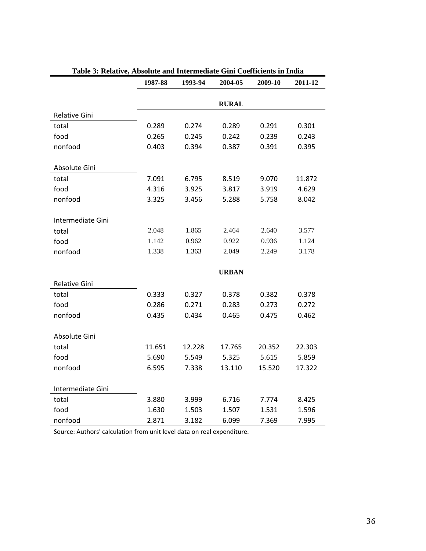|                      | 1987-88 | 1993-94 | 2004-05      | 2009-10 | 2011-12 |  |
|----------------------|---------|---------|--------------|---------|---------|--|
|                      |         |         | <b>RURAL</b> |         |         |  |
|                      |         |         |              |         |         |  |
| <b>Relative Gini</b> |         |         |              |         |         |  |
| total                | 0.289   | 0.274   | 0.289        | 0.291   | 0.301   |  |
| food                 | 0.265   | 0.245   | 0.242        | 0.239   | 0.243   |  |
| nonfood              | 0.403   | 0.394   | 0.387        | 0.391   | 0.395   |  |
| Absolute Gini        |         |         |              |         |         |  |
| total                | 7.091   | 6.795   | 8.519        | 9.070   | 11.872  |  |
| food                 | 4.316   | 3.925   | 3.817        | 3.919   | 4.629   |  |
| nonfood              | 3.325   | 3.456   | 5.288        | 5.758   | 8.042   |  |
|                      |         |         |              |         |         |  |
| Intermediate Gini    |         |         |              |         |         |  |
| total                | 2.048   | 1.865   | 2.464        | 2.640   | 3.577   |  |
| food                 | 1.142   | 0.962   | 0.922        | 0.936   | 1.124   |  |
| nonfood              | 1.338   | 1.363   | 2.049        | 2.249   | 3.178   |  |
|                      |         |         |              |         |         |  |
|                      |         |         | <b>URBAN</b> |         |         |  |
| Relative Gini        |         |         |              |         |         |  |
| total                | 0.333   | 0.327   | 0.378        | 0.382   | 0.378   |  |
| food                 | 0.286   | 0.271   | 0.283        | 0.273   | 0.272   |  |
| nonfood              | 0.435   | 0.434   | 0.465        | 0.475   | 0.462   |  |
|                      |         |         |              |         |         |  |
| Absolute Gini        |         |         |              |         |         |  |
| total                | 11.651  | 12.228  | 17.765       | 20.352  | 22.303  |  |
| food                 | 5.690   | 5.549   | 5.325        | 5.615   | 5.859   |  |
| nonfood              | 6.595   | 7.338   | 13.110       | 15.520  | 17.322  |  |
|                      |         |         |              |         |         |  |
| Intermediate Gini    |         |         |              |         |         |  |
| total                | 3.880   | 3.999   | 6.716        | 7.774   | 8.425   |  |
| food                 | 1.630   | 1.503   | 1.507        | 1.531   | 1.596   |  |
| nonfood              | 2.871   | 3.182   | 6.099        | 7.369   | 7.995   |  |

# **Table 3: Relative, Absolute and Intermediate Gini Coefficients in India**

Source: Authors' calculation from unit level data on real expenditure.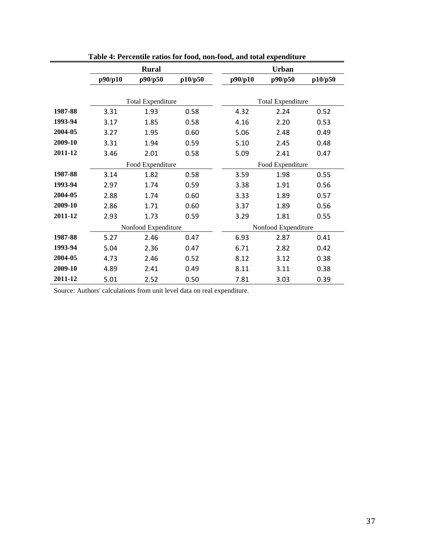|         |                      | <b>Rural</b>             |      | <b>Urban</b>        |                          |         |  |  |  |
|---------|----------------------|--------------------------|------|---------------------|--------------------------|---------|--|--|--|
|         | p90/p10              | p90/p50<br>p10/p50       |      | p90/p10             | p90/p50                  | p10/p50 |  |  |  |
|         |                      |                          |      |                     |                          |         |  |  |  |
|         |                      | <b>Total Expenditure</b> |      |                     | <b>Total Expenditure</b> |         |  |  |  |
| 1987-88 | 3.31                 | 1.93                     | 0.58 | 4.32                | 2.24                     | 0.52    |  |  |  |
| 1993-94 | 3.17                 | 1.85                     | 0.58 | 4.16                | 2.20                     | 0.53    |  |  |  |
| 2004-05 | 3.27                 | 1.95                     | 0.60 | 5.06                | 2.48                     | 0.49    |  |  |  |
| 2009-10 | 3.31<br>1.94         |                          | 0.59 | 5.10                | 2.45                     | 0.48    |  |  |  |
| 2011-12 | 3.46<br>2.01         |                          | 0.58 | 5.09                | 2.41                     | 0.47    |  |  |  |
|         |                      | Food Expenditure         |      | Food Expenditure    |                          |         |  |  |  |
| 1987-88 | 3.14                 | 1.82                     | 0.58 | 3.59                | 1.98                     | 0.55    |  |  |  |
| 1993-94 | 2.97                 | 1.74                     | 0.59 | 3.38                | 1.91                     | 0.56    |  |  |  |
| 2004-05 | 2.88                 | 1.74                     | 0.60 | 3.33                | 1.89                     | 0.57    |  |  |  |
| 2009-10 | 2.86                 | 1.71                     | 0.60 | 3.37                | 1.89                     | 0.56    |  |  |  |
| 2011-12 | 2.93                 | 1.73                     | 0.59 | 3.29                | 1.81                     | 0.55    |  |  |  |
|         |                      | Nonfood Expenditure      |      | Nonfood Expenditure |                          |         |  |  |  |
| 1987-88 | 5.27                 | 2.46                     | 0.47 | 6.93                | 2.87                     | 0.41    |  |  |  |
| 1993-94 | 5.04                 | 2.36                     | 0.47 | 6.71                | 2.82                     | 0.42    |  |  |  |
| 2004-05 | 4.73                 | 2.46                     | 0.52 | 8.12                | 3.12                     | 0.38    |  |  |  |
| 2009-10 | 4.89                 | 2.41                     | 0.49 | 8.11                | 3.11                     | 0.38    |  |  |  |
| 2011-12 | 5.01<br>2.52<br>0.50 |                          |      | 7.81                | 3.03                     | 0.39    |  |  |  |

**Table 4: Percentile ratios for food, non-food, and total expenditure** 

Source: Authors' calculations from unit level data on real expenditure.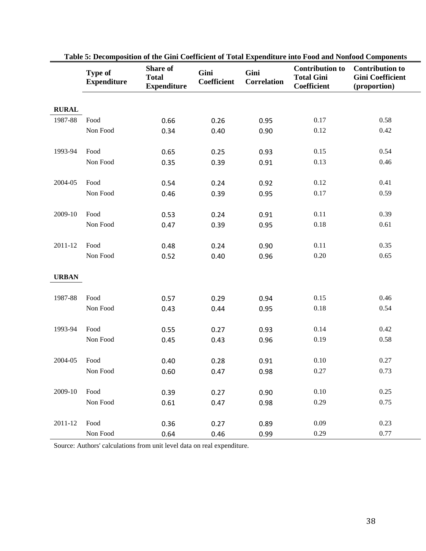|              | <b>Type of</b><br><b>Expenditure</b> | <b>Share of</b><br><b>Total</b><br><b>Expenditure</b> | Gini<br>Coefficient | Gini<br><b>Correlation</b> | <b>Contribution to</b><br><b>Total Gini</b><br><b>Coefficient</b> | <b>Contribution to</b><br><b>Gini Coefficient</b><br>(proportion) |
|--------------|--------------------------------------|-------------------------------------------------------|---------------------|----------------------------|-------------------------------------------------------------------|-------------------------------------------------------------------|
| <b>RURAL</b> |                                      |                                                       |                     |                            |                                                                   |                                                                   |
| 1987-88      | Food                                 | 0.66                                                  | 0.26                | 0.95                       | 0.17                                                              | 0.58                                                              |
|              | Non Food                             | 0.34                                                  | 0.40                | 0.90                       | 0.12                                                              | 0.42                                                              |
| 1993-94      | Food                                 | 0.65                                                  | 0.25                | 0.93                       | 0.15                                                              | 0.54                                                              |
|              | Non Food                             | 0.35                                                  | 0.39                | 0.91                       | 0.13                                                              | 0.46                                                              |
| 2004-05      | Food                                 | 0.54                                                  | 0.24                | 0.92                       | 0.12                                                              | 0.41                                                              |
|              | Non Food                             | 0.46                                                  | 0.39                | 0.95                       | 0.17                                                              | 0.59                                                              |
| 2009-10      | Food                                 | 0.53                                                  | 0.24                | 0.91                       | 0.11                                                              | 0.39                                                              |
|              | Non Food                             | 0.47                                                  | 0.39                | 0.95                       | 0.18                                                              | 0.61                                                              |
| 2011-12      | Food                                 | 0.48                                                  | 0.24                | 0.90                       | 0.11                                                              | 0.35                                                              |
|              | Non Food                             | 0.52                                                  | 0.40                | 0.96                       | 0.20                                                              | 0.65                                                              |
| <b>URBAN</b> |                                      |                                                       |                     |                            |                                                                   |                                                                   |
| 1987-88      | Food                                 | 0.57                                                  | 0.29                | 0.94                       | 0.15                                                              | 0.46                                                              |
|              | Non Food                             | 0.43                                                  | 0.44                | 0.95                       | 0.18                                                              | 0.54                                                              |
| 1993-94      | Food                                 | 0.55                                                  | 0.27                | 0.93                       | 0.14                                                              | 0.42                                                              |
|              | Non Food                             | 0.45                                                  | 0.43                | 0.96                       | 0.19                                                              | 0.58                                                              |
| 2004-05      | Food                                 | 0.40                                                  | 0.28                | 0.91                       | 0.10                                                              | 0.27                                                              |
|              | Non Food                             | 0.60                                                  | 0.47                | 0.98                       | 0.27                                                              | 0.73                                                              |
| 2009-10      | Food                                 | 0.39                                                  | 0.27                | 0.90                       | $0.10\,$                                                          | 0.25                                                              |
|              | Non Food                             | 0.61                                                  | 0.47                | 0.98                       | 0.29                                                              | 0.75                                                              |
| 2011-12      | Food                                 | 0.36                                                  | 0.27                | 0.89                       | 0.09                                                              | 0.23                                                              |
|              | Non Food                             | 0.64                                                  | 0.46                | 0.99                       | 0.29                                                              | 0.77                                                              |

**Table 5: Decomposition of the Gini Coefficient of Total Expenditure into Food and Nonfood Components**

Source: Authors' calculations from unit level data on real expenditure.